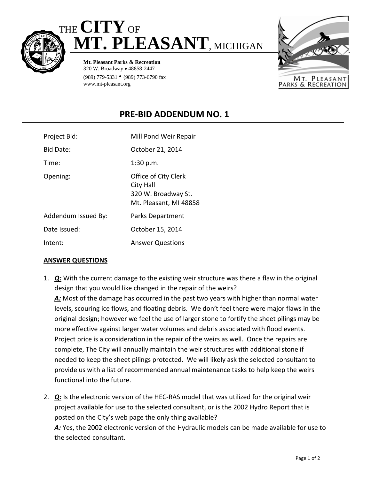



**Mt. Pleasant Parks & Recreation** 320 W. Broadway • 48858-2447 (989) 779-5331 • (989) 773-6790 fax www.mt-pleasant.org



## **PRE-BID ADDENDUM NO. 1**

| Project Bid:        | Mill Pond Weir Repair                                                              |
|---------------------|------------------------------------------------------------------------------------|
| Bid Date:           | October 21, 2014                                                                   |
| Time:               | 1:30 p.m.                                                                          |
| Opening:            | Office of City Clerk<br>City Hall<br>320 W. Broadway St.<br>Mt. Pleasant, MI 48858 |
| Addendum Issued By: | Parks Department                                                                   |
| Date Issued:        | October 15, 2014                                                                   |
| Intent:             | <b>Answer Questions</b>                                                            |

## **ANSWER QUESTIONS**

1. *Q:* With the current damage to the existing weir structure was there a flaw in the original design that you would like changed in the repair of the weirs?

*A:* Most of the damage has occurred in the past two years with higher than normal water levels, scouring ice flows, and floating debris. We don't feel there were major flaws in the original design; however we feel the use of larger stone to fortify the sheet pilings may be more effective against larger water volumes and debris associated with flood events. Project price is a consideration in the repair of the weirs as well. Once the repairs are complete, The City will annually maintain the weir structures with additional stone if needed to keep the sheet pilings protected. We will likely ask the selected consultant to provide us with a list of recommended annual maintenance tasks to help keep the weirs functional into the future.

2. *Q:* Is the electronic version of the HEC-RAS model that was utilized for the original weir project available for use to the selected consultant, or is the 2002 Hydro Report that is posted on the City's web page the only thing available?

*A:* Yes, the 2002 electronic version of the Hydraulic models can be made available for use to the selected consultant.